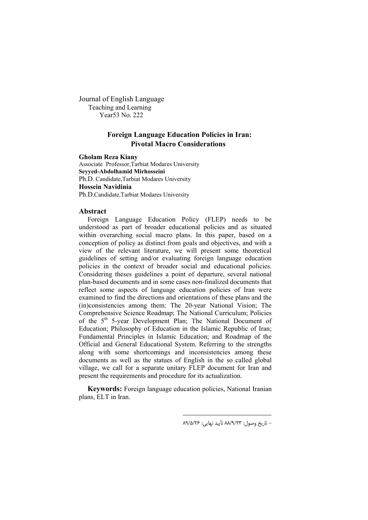Journal of English Language Teaching and Learning Year53 No. 222

# **Foreign Language Education Policies in Iran: Pivotal Macro Considerations**

**Gholam Reza Kiany**

Associate Professor,Tarbiat Modares University **Seyyed-Abdolhamid Mirhosseini** Ph.D. Candidate,Tarbiat Modares University **Hossein Navidinia** Ph.D.Candidate,Tarbiat Modares University

### **Abstract**

Foreign Language Education Policy (FLEP) needs to be understood as part of broader educational policies and as situated within overarching social macro plans. In this paper, based on a conception of policy as distinct from goals and objectives, and with a view of the relevant literature, we will present some theoretical guidelines of setting and/or evaluating foreign language education policies in the context of broader social and educational policies. Considering theses guidelines a point of departure, several national plan-based documents and in some cases non-finalized documents that reflect some aspects of language education policies of Iran were examined to find the directions and orientations of these plans and the (in)consistencies among them: The 20-year National Vision; The Comprehensive Science Roadmap; The National Curriculum; Policies of the 5<sup>th</sup> 5-year Development Plan; The National Document of Education; Philosophy of Education in the Islamic Republic of Iran; Fundamental Principles in Islamic Education; and Roadmap of the Official and General Educational System. Referring to the strengths along with some shortcomings and inconsistencies among these documents as well as the statues of English in the so called global village, we call for a separate unitary FLEP document for Iran and present the requirements and procedure for its actualization.

**Keywords:** Foreign language education policies, National Iranian plans, ELT in Iran.

 $\overline{\phantom{a}}$ 

- تاریخ وصول: 23 /9/ 88 تأیید نهایی: 26 /5/ 89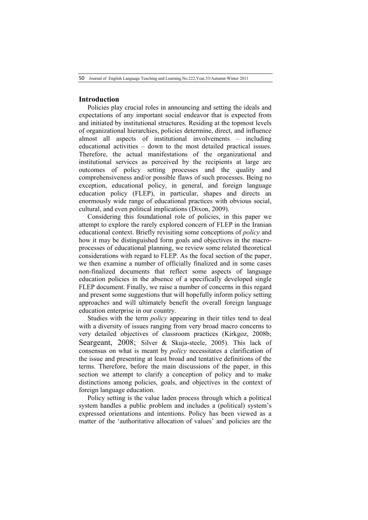# **Introduction**

Policies play crucial roles in announcing and setting the ideals and expectations of any important social endeavor that is expected from and initiated by institutional structures. Residing at the topmost levels of organizational hierarchies, policies determine, direct, and influence almost all aspects of institutional involvements – including educational activities – down to the most detailed practical issues. Therefore, the actual manifestations of the organizational and institutional services as perceived by the recipients at large are outcomes of policy setting processes and the quality and comprehensiveness and/or possible flaws of such processes. Being no exception, educational policy, in general, and foreign language education policy (FLEP), in particular, shapes and directs an enormously wide range of educational practices with obvious social, cultural, and even political implications (Dixon, 2009).

Considering this foundational role of policies, in this paper we attempt to explore the rarely explored concern of FLEP in the Iranian educational context. Briefly revisiting some conceptions of *policy* and how it may be distinguished form goals and objectives in the macroprocesses of educational planning, we review some related theoretical considerations with regard to FLEP. As the focal section of the paper, we then examine a number of officially finalized and in some cases non-finalized documents that reflect some aspects of language education policies in the absence of a specifically developed single FLEP document. Finally, we raise a number of concerns in this regard and present some suggestions that will hopefully inform policy setting approaches and will ultimately benefit the overall foreign language education enterprise in our country.

Studies with the term *policy* appearing in their titles tend to deal with a diversity of issues ranging from very broad macro concerns to very detailed objectives of classroom practices (Kirkgoz, 2008b; Seargeant, 2008; Silver & Skuja-steele, 2005). This lack of consensus on what is meant by *policy* necessitates a clarification of the issue and presenting at least broad and tentative definitions of the terms. Therefore, before the main discussions of the paper, in this section we attempt to clarify a conception of policy and to make distinctions among policies, goals, and objectives in the context of foreign language education.

Policy setting is the value laden process through which a political system handles a public problem and includes a (political) system's expressed orientations and intentions. Policy has been viewed as a matter of the 'authoritative allocation of values' and policies are the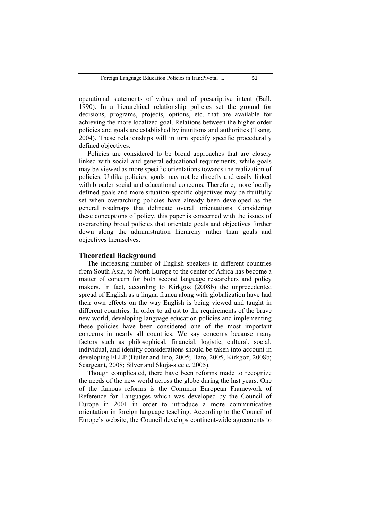operational statements of values and of prescriptive intent (Ball, 1990). In a hierarchical relationship policies set the ground for decisions, programs, projects, options, etc. that are available for achieving the more localized goal. Relations between the higher order policies and goals are established by intuitions and authorities (Tsang, 2004). These relationships will in turn specify specific procedurally defined objectives.

Policies are considered to be broad approaches that are closely linked with social and general educational requirements, while goals may be viewed as more specific orientations towards the realization of policies. Unlike policies, goals may not be directly and easily linked with broader social and educational concerns. Therefore, more locally defined goals and more situation-specific objectives may be fruitfully set when overarching policies have already been developed as the general roadmaps that delineate overall orientations. Considering these conceptions of policy, this paper is concerned with the issues of overarching broad policies that orientate goals and objectives further down along the administration hierarchy rather than goals and objectives themselves.

#### **Theoretical Background**

The increasing number of English speakers in different countries from South Asia, to North Europe to the center of Africa has become a matter of concern for both second language researchers and policy makers. In fact, according to Kirkgöz (2008b) the unprecedented spread of English as a lingua franca along with globalization have had their own effects on the way English is being viewed and taught in different countries. In order to adjust to the requirements of the brave new world, developing language education policies and implementing these policies have been considered one of the most important concerns in nearly all countries. We say concerns because many factors such as philosophical, financial, logistic, cultural, social, individual, and identity considerations should be taken into account in developing FLEP (Butler and Iino, 2005; Hato, 2005; Kirkgoz, 2008b; Seargeant, 2008; Silver and Skuja-steele, 2005).

Though complicated, there have been reforms made to recognize the needs of the new world across the globe during the last years. One of the famous reforms is the Common European Framework of Reference for Languages which was developed by the Council of Europe in 2001 in order to introduce a more communicative orientation in foreign language teaching. According to the Council of Europe's website, the Council develops continent-wide agreements to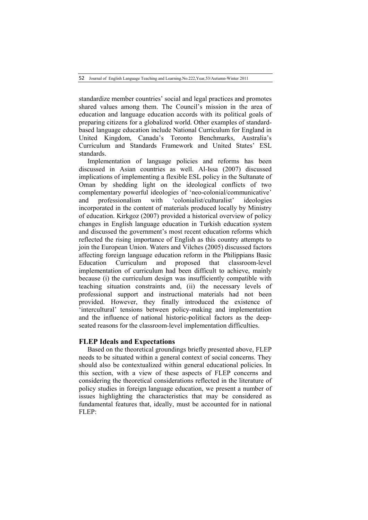standardize member countries' social and legal practices and promotes shared values among them. The Council's mission in the area of education and language education accords with its political goals of preparing citizens for a globalized world. Other examples of standardbased language education include National Curriculum for England in United Kingdom, Canada's Toronto Benchmarks, Australia's Curriculum and Standards Framework and United States' ESL standards.

Implementation of language policies and reforms has been discussed in Asian countries as well. Al-Issa (2007) discussed implications of implementing a flexible ESL policy in the Sultanate of Oman by shedding light on the ideological conflicts of two complementary powerful ideologies of 'neo-colonial/communicative' and professionalism with 'colonialist/culturalist' ideologies incorporated in the content of materials produced locally by Ministry of education. Kirkgoz (2007) provided a historical overview of policy changes in English language education in Turkish education system and discussed the government's most recent education reforms which reflected the rising importance of English as this country attempts to join the European Union. Waters and Vilches (2005) discussed factors affecting foreign language education reform in the Philippians Basic Education Curriculum and proposed that classroom-level implementation of curriculum had been difficult to achieve, mainly because (i) the curriculum design was insufficiently compatible with teaching situation constraints and, (ii) the necessary levels of professional support and instructional materials had not been provided. However, they finally introduced the existence of 'intercultural' tensions between policy-making and implementation and the influence of national historic-political factors as the deepseated reasons for the classroom-level implementation difficulties.

# **FLEP Ideals and Expectations**

Based on the theoretical groundings briefly presented above, FLEP needs to be situated within a general context of social concerns. They should also be contextualized within general educational policies. In this section, with a view of these aspects of FLEP concerns and considering the theoretical considerations reflected in the literature of policy studies in foreign language education, we present a number of issues highlighting the characteristics that may be considered as fundamental features that, ideally, must be accounted for in national FLEP: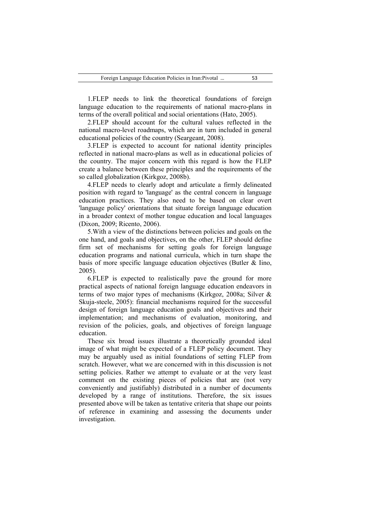1.FLEP needs to link the theoretical foundations of foreign language education to the requirements of national macro-plans in terms of the overall political and social orientations (Hato, 2005).

2.FLEP should account for the cultural values reflected in the national macro-level roadmaps, which are in turn included in general educational policies of the country (Seargeant, 2008).

3.FLEP is expected to account for national identity principles reflected in national macro-plans as well as in educational policies of the country. The major concern with this regard is how the FLEP create a balance between these principles and the requirements of the so called globalization (Kirkgoz, 2008b).

4.FLEP needs to clearly adopt and articulate a firmly delineated position with regard to 'language' as the central concern in language education practices. They also need to be based on clear overt 'language policy' orientations that situate foreign language education in a broader context of mother tongue education and local languages (Dixon, 2009; Ricento, 2006).

5.With a view of the distinctions between policies and goals on the one hand, and goals and objectives, on the other, FLEP should define firm set of mechanisms for setting goals for foreign language education programs and national curricula, which in turn shape the basis of more specific language education objectives (Butler & Iino, 2005).

6.FLEP is expected to realistically pave the ground for more practical aspects of national foreign language education endeavors in terms of two major types of mechanisms (Kirkgoz, 2008a; Silver & Skuja-steele, 2005): financial mechanisms required for the successful design of foreign language education goals and objectives and their implementation; and mechanisms of evaluation, monitoring, and revision of the policies, goals, and objectives of foreign language education.

These six broad issues illustrate a theoretically grounded ideal image of what might be expected of a FLEP policy document. They may be arguably used as initial foundations of setting FLEP from scratch. However, what we are concerned with in this discussion is not setting policies. Rather we attempt to evaluate or at the very least comment on the existing pieces of policies that are (not very conveniently and justifiably) distributed in a number of documents developed by a range of institutions. Therefore, the six issues presented above will be taken as tentative criteria that shape our points of reference in examining and assessing the documents under investigation.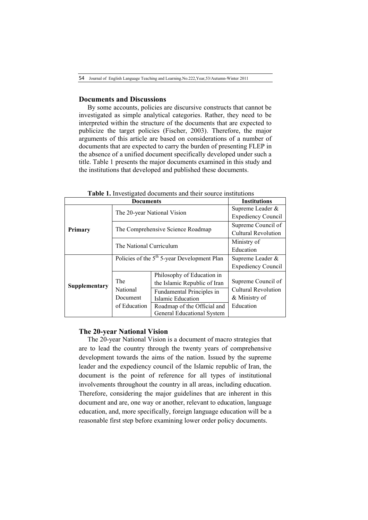# **Documents and Discussions**

By some accounts, policies are discursive constructs that cannot be investigated as simple analytical categories. Rather, they need to be interpreted within the structure of the documents that are expected to publicize the target policies (Fischer, 2003). Therefore, the major arguments of this article are based on considerations of a number of documents that are expected to carry the burden of presenting FLEP in the absence of a unified document specifically developed under such a title. Table 1 presents the major documents examined in this study and the institutions that developed and published these documents.

| Documents      |                                                         |                                                       | <b>Institutions</b>        |
|----------------|---------------------------------------------------------|-------------------------------------------------------|----------------------------|
| <b>Primary</b> | The 20-year National Vision                             |                                                       | Supreme Leader &           |
|                |                                                         |                                                       | <b>Expediency Council</b>  |
|                | The Comprehensive Science Roadmap                       |                                                       | Supreme Council of         |
|                |                                                         |                                                       | <b>Cultural Revolution</b> |
|                | The National Curriculum                                 |                                                       | Ministry of                |
|                |                                                         |                                                       | Education                  |
| Supplementary  | Policies of the 5 <sup>th</sup> 5-year Development Plan |                                                       | Supreme Leader &           |
|                |                                                         |                                                       | <b>Expediency Council</b>  |
|                | The                                                     | Philosophy of Education in                            | Supreme Council of         |
|                | National                                                | the Islamic Republic of Iran                          | <b>Cultural Revolution</b> |
|                | Document                                                | <b>Fundamental Principles in</b><br>Islamic Education | & Ministry of              |
|                |                                                         |                                                       |                            |
|                | of Education                                            | Roadmap of the Official and                           | Education                  |
|                |                                                         | <b>General Educational System</b>                     |                            |

**Table 1.** Investigated documents and their source institutions

## **The 20-year National Vision**

The 20-year National Vision is a document of macro strategies that are to lead the country through the twenty years of comprehensive development towards the aims of the nation. Issued by the supreme leader and the expediency council of the Islamic republic of Iran, the document is the point of reference for all types of institutional involvements throughout the country in all areas, including education. Therefore, considering the major guidelines that are inherent in this document and are, one way or another, relevant to education, language education, and, more specifically, foreign language education will be a reasonable first step before examining lower order policy documents.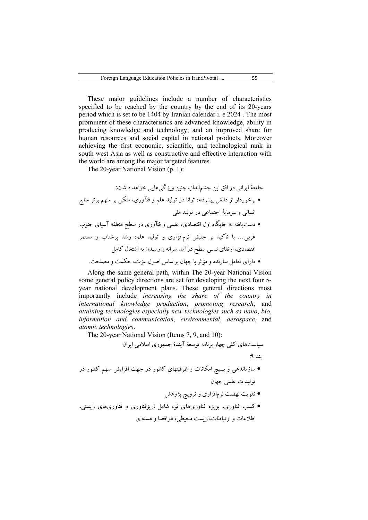These major guidelines include a number of characteristics specified to be reached by the country by the end of its 20-years period which is set to be 1404 by Iranian calendar i. e 2024 . The most prominent of these characteristics are advanced knowledge, ability in producing knowledge and technology, and an improved share for human resources and social capital in national products. Moreover achieving the first economic, scientific, and technological rank in south west Asia as well as constructive and effective interaction with the world are among the major targeted features.

The 20-year National Vision (p. 1):

جامع ۀ ایرانى در افق این چشمانداز، چنین ویژگیهایى خواهد داشت: برخوردار از دانش پیشرفته، توانا در تولید علم و فنآورى، متکى بر سهم برتر منابع انسانى و سرمای ۀ اجتماعى در تولید ملى دستیافته به جایگاه اول اقتصادى، علمى و فنآورى در سطح منطقه آسیاى جنوب غربى... با تأکید بر جنبش نرمافزارى و تولید علم، رشد پرشتاب و مستمر اقتصادى، ارتقاى نسبى سطح درآمد سرانه و رسیدن به اشتغال کامل داراى تعامل سازنده و مؤ ثر با جهان براساس اصول عزت، حکمت و مصلحت .

Along the same general path, within The 20-year National Vision some general policy directions are set for developing the next four 5 year national development plans. These general directions most importantly include *increasing the share of the country in international knowledge production*, *promoting research*, and *attaining technologies especially new technologies such as nano*, *bio*, *information and communication*, *environmental*, *aerospace*, and *atomic technologies*.

The 20-year National Vision (Items 7, 9, and 10):

سیاستهاى کلى چهار برنامه توسعۀ آیندة جمهورى اسلامى ایران بند : 9 سازماندهى و بسیج امکانات و ظرفیتهاى کشور در جهت افزایش سهم کشور در تولیدات علمى جهان تقویت نهضت نرمافزارى و ترویج پژوهش

 کسب فناورى، بویژه افن وريهاى نو، شامل :ریزفناورى و فناوريهاى زیستى، اطلاعات و ارتباطات، زیست محیطى، هوافضا و هستهاى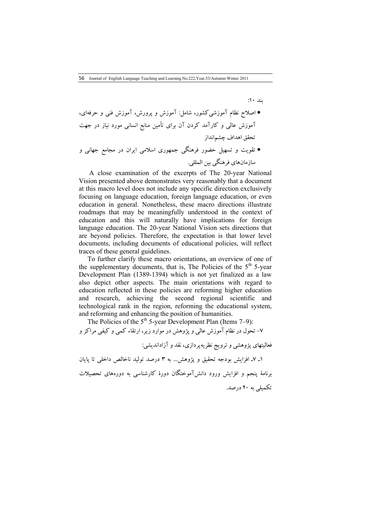بند :10 اصلاح نظام آموزشىکشور، شامل: آموزش و پرورش، آموزش فنى و حرفهاى، آموزش عالى و کارآمد کردن آن براى تأمین منابع انسانى مورد نیاز در جهت تحقق اهداف چشمانداز تقویت و تسهیل حضور فرهنگى جمهورى اسلامى ایران در مجامع جهانى و سازمانهاى فرهنگى بین المللى.

A close examination of the excerpts of The 20-year National Vision presented above demonstrates very reasonably that a document at this macro level does not include any specific direction exclusively focusing on language education, foreign language education, or even education in general. Nonetheless, these macro directions illustrate roadmaps that may be meaningfully understood in the context of education and this will naturally have implications for foreign language education. The 20-year National Vision sets directions that are beyond policies. Therefore, the expectation is that lower level documents, including documents of educational policies, will reflect traces of these general guidelines.

To further clarify these macro orientations, an overview of one of the supplementary documents, that is, The Policies of the  $5<sup>th</sup> 5$ -year Development Plan (1389-1394) which is not yet finalized as a law also depict other aspects. The main orientations with regard to education reflected in these policies are reforming higher education and research, achieving the second regional scientific and technological rank in the region, reforming the educational system, and reforming and enhancing the position of humanities.

The Policies of the 5th 5-year Development Plan (Items 7–9): 7- تحول در نظام آموزش عالى و پژوهش در موارد زیر، ارتقاء کمى و کیفى مراکز و فعالیتهاى پژوهشى و ترویج نظریهپردازى، نقد و آزاداندیشی: 7ـ 1 ـ افزایش بودجه تحقیق و پژوهش... به 3 درصد تولید ناخالص داخلى تا پایان برنام ۀ پنجم و افزایش ورود دانشآموختگان دور ة کارشناسى به دورههاى تحصیلات تکمیلى به 20 درصد.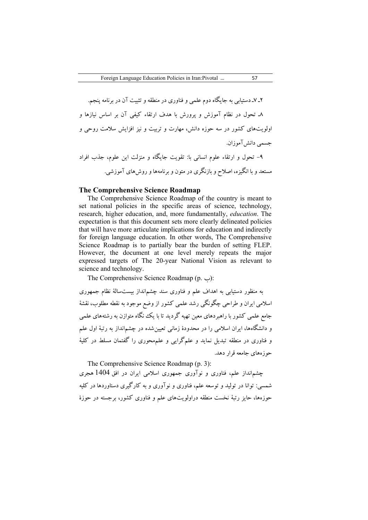7ـ 2 ـ دستیابى به جایگاه دوم علمى و فناورى در منطقه و تثبیت آن در برنامه پنجم . 8ـ تحول در نظام آموزش و پرورش با هدف ارتقاء کیفى آن بر اساس نیازها و اولویتهاى کشور در سه حوزه دانش، مهارت و تربیت و نیز افزایش سلامت روحى و جسمے دانش آموزان. 9- تحول و ارتقاء علوم انسانى با: تقویت جایگاه و منزلت این علوم، جذب افراد مستعد و با انگیزه، اصلاح و بازنگرى در متون و برنامهها و روشهاى آموزشى.

#### **The Comprehensive Science Roadmap**

The Comprehensive Science Roadmap of the country is meant to set national policies in the specific areas of science, technology, research, higher education, and, more fundamentally, *education*. The expectation is that this document sets more clearly delineated policies that will have more articulate implications for education and indirectly for foreign language education. In other words, The Comprehensive Science Roadmap is to partially bear the burden of setting FLEP. However, the document at one level merely repeats the major expressed targets of The 20-year National Vision as relevant to science and technology.

The Comprehensive Science Roadmap (p. ب(:

به منظور دستیابی به اهداف علم و فناوری سند چشمانداز بیستسالۀ نظام جمهوری اسلامی ایران و طراحی چگونگی رشد علمی کشور از وضع موجود به نقطه مطلوب، نقش ۀ جامع علمی کشور با راهبردهاي معین تهیه گردید تا با یک نگاه متوازن به رشتههاي علمی و دانشگاهها، ایران اسلامی را در محدودهٔ زمانی تعیین شده در چشمانداز به رتبهٔ اول علم و فناوری در منطقه تبدیل نماید و علمگرایی و علمهعوری را گفتمان مسلط در کلیهٔ حوزههاي جامعه قرار دهد.

The Comprehensive Science Roadmap (p. 3):

چشمانداز علم، فناوري و نوآوري جمهوري اسلامی ایران در افق 1404 هجري شمسی: توانا در تولید و توسعه علم، فناوري و نوآوري و به کارگیري دستاوردها در کلیه حوزهها، حایز رتبهٔ نخست منطقه دراولویتهای علم و فناوری کشور، برجسته در حوزهٔ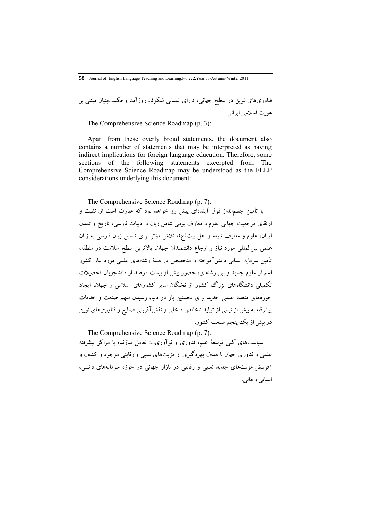فناوريهاي نوین در سطح جهانی، داراي تمدنی شکوفا، روزآمد وحکمتبنیان مبتنی بر هویت اسلامی ایرانی.

The Comprehensive Science Roadmap (p. 3):

Apart from these overly broad statements, the document also contains a number of statements that may be interpreted as having indirect implications for foreign language education. Therefore, some sections of the following statements excerpted from The Comprehensive Science Roadmap may be understood as the FLEP considerations underlying this document:

The Comprehensive Science Roadmap (p. 7):

با تأمین چشمانداز فوق آیندهاي پیش رو خواهد بود که عبارت است از: تثبیت و ارتقاي مرجعیت جهانی علوم و معارف بومی شامل زبان و ادبیات فارسی، تاریخ و تمدن ایران، علوم و معارف شیعه و اهل بیت )ع( ، تلاش مؤثر براي تبدیل زبان فارسی به زبان علمی بینالمللی مورد نیاز و ارجاع دانشمندان جهان، بالاترین سطح سلامت در منطقه، تأمین سرمایه انسانی دانشآموخته و متخصص در هم ۀ رشتههاي علمی مورد نیاز کشور اعم از علوم جدید و بین رشتهاي، حضور بیش از بیست درصد از دانشجویان تحصیلات تکمیلی دانشگاههاي بزرگ کشور از نخبگان سایر کشورهاي اسلامی و جهان، ایجاد حوزههاي متعدد علمی جدید براي نخستین بار در دنیا، رسیدن سهم صنعت و خدمات پیشرفته به بیش از نیمی از تولید ناخالص داخلی و نقشآفرینی صنایع و فناوريهاي نوین در بیش از یک پنجم صنعت کشور.

The Comprehensive Science Roadmap (p. 7): سیاستهاي کلی توسعۀ علم، فناوري و نوآوري:... تعامل سازنده با مراکز پیشرفته علمی و فناوري جهان با هدف بهرهگیري از مزیتهاي نسبی و رقابتی موجود و کشف و آفرینش مزیتهاي جدید نسبی و رقابتی در بازار جهانی در حوزه سرمایههاي دانشی، انسانی و مالی.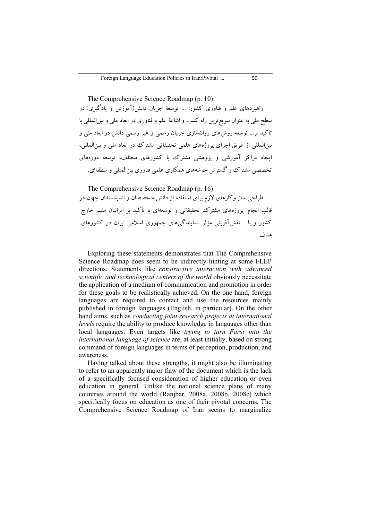The Comprehensive Science Roadmap (p. 10): راهبردهاي علم و فناوري کشور: ... توسعۀ جریان دانش(آموزش و یادگیري) در سطح ملی به عنوان سریع ترین راه کسب و اشاعهٔ علم و فناوری در ابعاد ملی و بین|لمللی با تأکید بر... توسعه روشهاي روانسازي جریان رسمی و غیر رسمی دانش در ابعاد ملی و بینالمللی از طریق اجراي پروژههاي علمی تحقیقاتی مشترك در ابعاد ملی و بینالمللی، ایجاد مراکز آموزشی و پژوهشی مشترك با کشورهاي مختلف، توسعه دورههاي

The Comprehensive Science Roadmap (p. 16):

طراحی ساز وکارهاي لازم براي استفاده از دانش متخصصان و اندیشمندان جهان در قالب انجام پروژههاي مشترك تحقیقاتی و توسعهاي با تأکید بر ایرانیان مقیم خارج کشور و با نقشآفرینی مؤثر نمایندگیهاي جمهوري اسلامی ایران در کشورهاي هدف

تخصصی مشترك و گسترش خوشههای همکاری علمی فناوری بین المللی و منطقهای.

Exploring these statements demonstrates that The Comprehensive Science Roadmap does seem to be indirectly hinting at some FLEP directions. Statements like *constructive interaction with advanced scientific and technological centers of the world* obviously necessitate the application of a medium of communication and promotion in order for these goals to be realistically achieved. On the one hand, foreign languages are required to contact and use the resources mainly published in foreign languages (English, in particular). On the other hand aims, such as *conducting joint research projects at international levels* require the ability to produce knowledge in languages other than local languages. Even targets like *trying to turn Farsi into the international language of science* are, at least initially, based on strong command of foreign languages in terms of perception, production, and awareness.

Having talked about these strengths, it might also be illuminating to refer to an apparently major flaw of the document which is the lack of a specifically focused consideration of higher education or even education in general. Unlike the national science plans of many countries around the world (Ranjbar, 2008a, 2008b, 2008c) which specifically focus on education as one of their pivotal concerns, The Comprehensive Science Roadmap of Iran seems to marginalize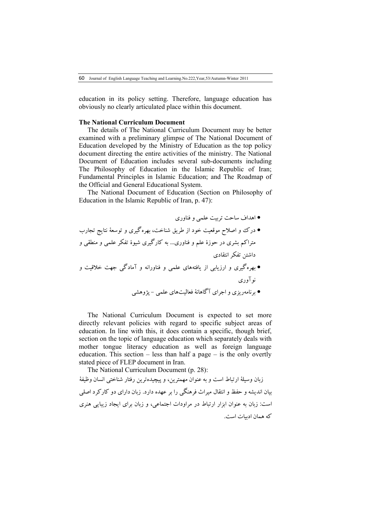60 Journal of English Language Teaching and Learning.No.222,Year,53/Autumn-Winter 2011

education in its policy setting. Therefore, language education has obviously no clearly articulated place within this document.

#### **The National Curriculum Document**

The details of The National Curriculum Document may be better examined with a preliminary glimpse of The National Document of Education developed by the Ministry of Education as the top policy document directing the entire activities of the ministry. The National Document of Education includes several sub-documents including The Philosophy of Education in the Islamic Republic of Iran; Fundamental Principles in Islamic Education; and The Roadmap of the Official and General Educational System.

The National Document of Education (Section on Philosophy of Education in the Islamic Republic of Iran, p. 47):

- اهداف ساحت تربیت علمی و فناوري درك و اصلاح موقعیت خود از طریق شناخت، بهرهگیري و توسعۀ نتایج تجارب متراکم بشري در حوزة علم و فناوري... به کارگیري شیوة تفکر علمی و منطقی و داشتن تفکر انتقادي
- بهرهگیري و ارزیابی از یافتههاي علمی و فناورانه و آمادگی جهت خلاقیت و نوآوري
	- برنامهریزي و اجراي آگاهانۀ فعالیتهاي علمی پژوهشی

The National Curriculum Document is expected to set more directly relevant policies with regard to specific subject areas of education. In line with this, it does contain a specific, though brief, section on the topic of language education which separately deals with mother tongue literacy education as well as foreign language education. This section  $-$  less than half a page  $-$  is the only overtly stated piece of FLEP document in Iran.

The National Curriculum Document (p. 28): زبان وسیلۀ ارتباط است و به عنوان مهمترین، و پیچیدهترین رفتار شناختی انسان وظیفۀ بیان اندیشه و حفظ و انتقال میراث فرهنگی را بر عهده دارد. زبان داراي دو کارکرد اصلی است: زبان به عنوان ابزار ارتباط در مراودات اجتماعی، و زبان براي ایجاد زیبایی هنري که همان ادبیات است .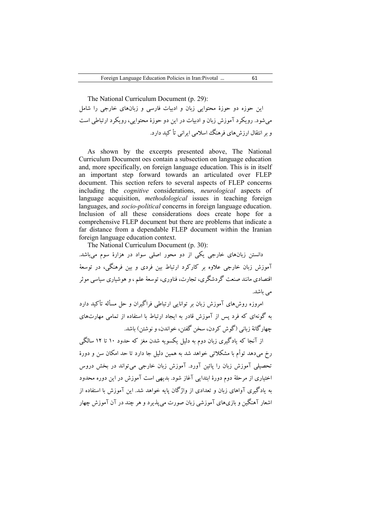The National Curriculum Document (p. 29): این حوزه دو حوزة محتوایی زبان و ادبیات فارسی و زبانهاي خارجی را شامل میشود. رویکرد آموزش زبان و ادبیات در این دو حوزة محتوایی، رویکرد ارتباطی است و بر انتقال ارزشهاي فرهنگ اسلامی ایرانی تأ کید دارد.

As shown by the excerpts presented above, The National Curriculum Document oes contain a subsection on language education and, more specifically, on foreign language education. This is in itself an important step forward towards an articulated over FLEP document. This section refers to several aspects of FLEP concerns including the *cognitive* considerations, *neurological* aspects of language acquisition, *methodological* issues in teaching foreign languages, and *socio-political* concerns in foreign language education. Inclusion of all these considerations does create hope for a comprehensive FLEP document but there are problems that indicate a far distance from a dependable FLEP document within the Iranian foreign language education context.

The National Curriculum Document (p. 30):

دانستن زبانهاي خارجی یکی از دو محور اصلی سواد در هزارة سوم میباشد. آموزش زبان خارجی علاوه بر کارکرد ارتباط بین فردي و بین فرهنگی، در توسعۀ اقتصادي مانند صنعت گردشگري، تجارت، فناوري، توسعۀ علم ، و هوشیاري سیاسی موثر می باشد.

امروزه روشهاي آموزش زبان بر توانایی ارتباطی فراگیران و حل مسأله تأکید دارد به گونهاي که فرد پس از آموزش قادر به ایجاد ارتباط با استفاده از تمامی مهارتهاي چهارگانۀ زبانی (گوش کردن، سخن گفتن، خواندن، و نوشتن) باشد .

از آنجا که یادگیري زبان دوم به دلیل یکسویه شدن مغز که حدود 10 تا 12 سالگی رخ میدهد توأم با مشکلاتی خواهد شد به همین دلیل جا دارد تا حد امکان سن و دورة تحصیلی آموزش زبان را پائین آورد. آموزش زبان خارجی میتواند در بخش دروس اختیاري از مرحلۀ دوم دورة ابتدایی آغاز شود. بدیهی است آموزش در این دوره محدود به یادگیري آ واهاي زبان و تعدادي از واژگان پایه خواهد شد. این آموزش با استفاده از اشعار آهنگین و بازيهاي آموزشی زبان صورت میپذیرد و هر چند در آن آموزش چهار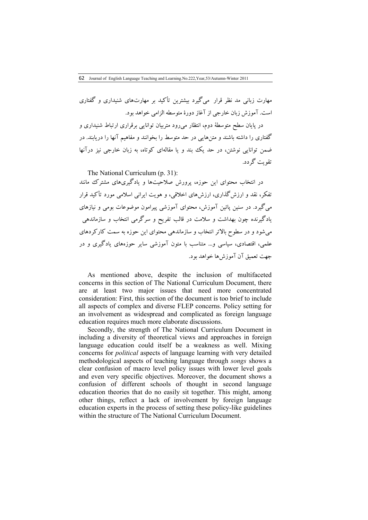مهارت زبانی مد نظر قرار میگیرد بیشترین تأکید بر مهارتهاي شنیداري و گفتاري است. آموزش زبان خارجی از آغاز دورة متوسطه الزامی خواهد بود.

در پایان سطح متوسطۀ دوم، انتظار میرود متربیان توانایی برقراري ارتباط شنیداري و گفتاري را داشته باشند و متنهایی در حد متوسط را بخوانند و مفاهیم آنها را دریابند. در ضمن توانایی نوشتن، در حد یک بند و یا مقالهاي کوتاه، به زبان خارجی نیز درآنها تقویت گردد.

The National Curriculum (p. 31):

در انتخاب محتواي این حوزه، پرورش صلاحیتها و یادگیريهاي مشترك مانند تفکر، نقد و ارزشگذاري، ارزشهاي اخلاقی، و هویت ایرانی اسلامی مورد تأکید قرار میگیرد. در سنین پائین آموزش، محتواي آموزشی پیرامون موضوعات بومی و نیازهاي یادگیرنده چون بهداشت و سلامت در قالب تفریح و سرگرمی انتخاب و سازماندهی میشود و در سطوح بالاتر انتخاب و سازماندهی محتواي این حوزه به سمت کارکردهاي علمی، اقتصادي، سیاسی و... متناسب با متون آموزشی سایر حوزههاي یادگیري و در جهت تعمیق آن آموزشها خواهد بود.

As mentioned above, despite the inclusion of multifaceted concerns in this section of The National Curriculum Document, there are at least two major issues that need more concentrated consideration: First, this section of the document is too brief to include all aspects of complex and diverse FLEP concerns. Policy setting for an involvement as widespread and complicated as foreign language education requires much more elaborate discussions.

Secondly, the strength of The National Curriculum Document in including a diversity of theoretical views and approaches in foreign language education could itself be a weakness as well. Mixing concerns for *political* aspects of language learning with very detailed methodological aspects of teaching language through *songs* shows a clear confusion of macro level policy issues with lower level goals and even very specific objectives. Moreover, the document shows a confusion of different schools of thought in second language education theories that do no easily sit together. This might, among other things, reflect a lack of involvement by foreign language education experts in the process of setting these policy-like guidelines within the structure of The National Curriculum Document.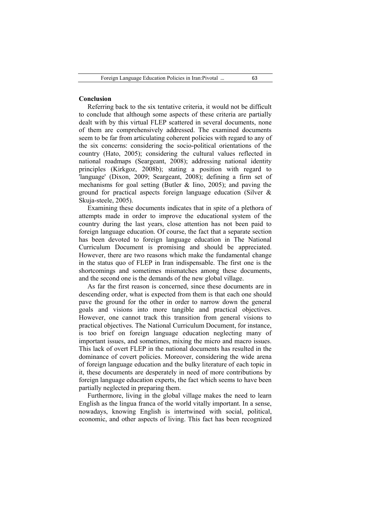## **Conclusion**

Referring back to the six tentative criteria, it would not be difficult to conclude that although some aspects of these criteria are partially dealt with by this virtual FLEP scattered in several documents, none of them are comprehensively addressed. The examined documents seem to be far from articulating coherent policies with regard to any of the six concerns: considering the socio-political orientations of the country (Hato, 2005); considering the cultural values reflected in national roadmaps (Seargeant, 2008); addressing national identity principles (Kirkgoz, 2008b); stating a position with regard to 'language' (Dixon, 2009; Seargeant, 2008); defining a firm set of mechanisms for goal setting (Butler  $\&$  Iino, 2005); and paving the ground for practical aspects foreign language education (Silver & Skuja-steele, 2005).

Examining these documents indicates that in spite of a plethora of attempts made in order to improve the educational system of the country during the last years, close attention has not been paid to foreign language education. Of course, the fact that a separate section has been devoted to foreign language education in The National Curriculum Document is promising and should be appreciated. However, there are two reasons which make the fundamental change in the status quo of FLEP in Iran indispensable. The first one is the shortcomings and sometimes mismatches among these documents, and the second one is the demands of the new global village.

As far the first reason is concerned, since these documents are in descending order, what is expected from them is that each one should pave the ground for the other in order to narrow down the general goals and visions into more tangible and practical objectives. However, one cannot track this transition from general visions to practical objectives. The National Curriculum Document, for instance, is too brief on foreign language education neglecting many of important issues, and sometimes, mixing the micro and macro issues. This lack of overt FLEP in the national documents has resulted in the dominance of covert policies. Moreover, considering the wide arena of foreign language education and the bulky literature of each topic in it, these documents are desperately in need of more contributions by foreign language education experts, the fact which seems to have been partially neglected in preparing them.

Furthermore, living in the global village makes the need to learn English as the lingua franca of the world vitally important. In a sense, nowadays, knowing English is intertwined with social, political, economic, and other aspects of living. This fact has been recognized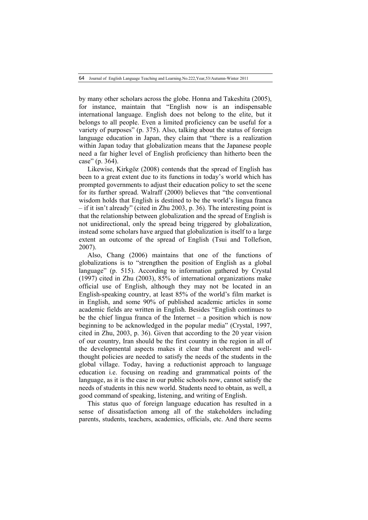64 Journal of English Language Teaching and Learning.No.222,Year,53/Autumn-Winter 2011

by many other scholars across the globe. Honna and Takeshita (2005), for instance, maintain that "English now is an indispensable international language. English does not belong to the elite, but it belongs to all people. Even a limited proficiency can be useful for a variety of purposes" (p. 375). Also, talking about the status of foreign language education in Japan, they claim that "there is a realization within Japan today that globalization means that the Japanese people need a far higher level of English proficiency than hitherto been the case" (p. 364).

Likewise, Kirkgöz (2008) contends that the spread of English has been to a great extent due to its functions in today's world which has prompted governments to adjust their education policy to set the scene for its further spread. Walraff (2000) believes that "the conventional wisdom holds that English is destined to be the world's lingua franca – if it isn't already" (cited in Zhu 2003, p. 36). The interesting point is that the relationship between globalization and the spread of English is not unidirectional, only the spread being triggered by globalization, instead some scholars have argued that globalization is itself to a large extent an outcome of the spread of English (Tsui and Tollefson, 2007).

Also, Chang (2006) maintains that one of the functions of globalizations is to "strengthen the position of English as a global language" (p. 515). According to information gathered by Crystal (1997) cited in Zhu (2003), 85% of international organizations make official use of English, although they may not be located in an English-speaking country, at least 85% of the world's film market is in English, and some 90% of published academic articles in some academic fields are written in English. Besides "English continues to be the chief lingua franca of the Internet – a position which is now beginning to be acknowledged in the popular media" (Crystal, 1997, cited in Zhu, 2003, p. 36). Given that according to the 20 year vision of our country, Iran should be the first country in the region in all of the developmental aspects makes it clear that coherent and wellthought policies are needed to satisfy the needs of the students in the global village. Today, having a reductionist approach to language education i.e. focusing on reading and grammatical points of the language, as it is the case in our public schools now, cannot satisfy the needs of students in this new world. Students need to obtain, as well, a good command of speaking, listening, and writing of English.

This status quo of foreign language education has resulted in a sense of dissatisfaction among all of the stakeholders including parents, students, teachers, academics, officials, etc. And there seems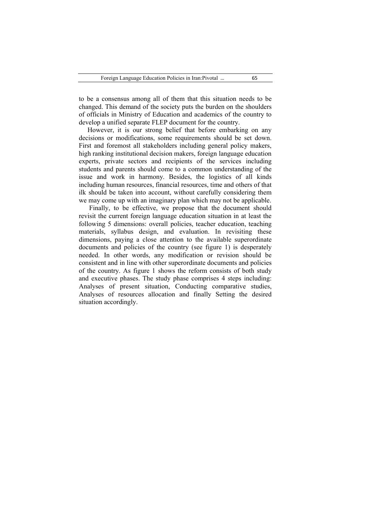to be a consensus among all of them that this situation needs to be changed. This demand of the society puts the burden on the shoulders of officials in Ministry of Education and academics of the country to develop a unified separate FLEP document for the country.

However, it is our strong belief that before embarking on any decisions or modifications, some requirements should be set down. First and foremost all stakeholders including general policy makers, high ranking institutional decision makers, foreign language education experts, private sectors and recipients of the services including students and parents should come to a common understanding of the issue and work in harmony. Besides, the logistics of all kinds including human resources, financial resources, time and others of that ilk should be taken into account, without carefully considering them we may come up with an imaginary plan which may not be applicable.

Finally, to be effective, we propose that the document should revisit the current foreign language education situation in at least the following 5 dimensions: overall policies, teacher education, teaching materials, syllabus design, and evaluation. In revisiting these dimensions, paying a close attention to the available superordinate documents and policies of the country (see figure 1) is desperately needed. In other words, any modification or revision should be consistent and in line with other superordinate documents and policies of the country. As figure 1 shows the reform consists of both study and executive phases. The study phase comprises 4 steps including: Analyses of present situation, Conducting comparative studies, Analyses of resources allocation and finally Setting the desired situation accordingly.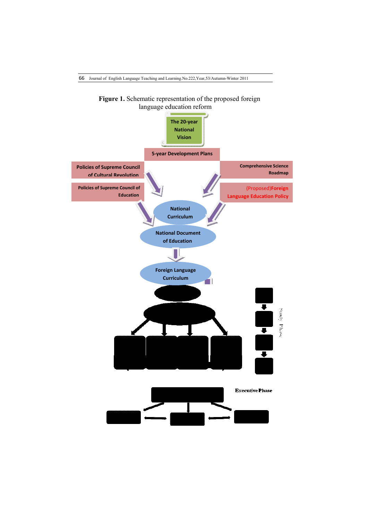

66 Journal of English Language Teaching and Learning.No.222,Year,53/Autumn-Winter 2011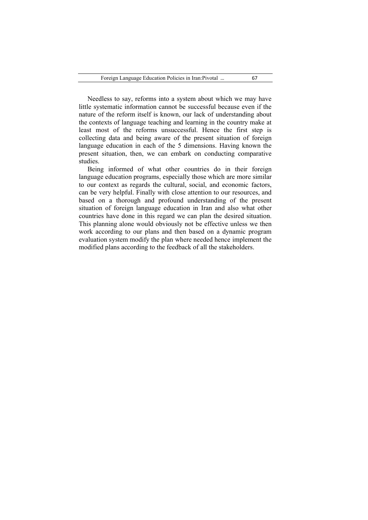Needless to say, reforms into a system about which we may have little systematic information cannot be successful because even if the nature of the reform itself is known, our lack of understanding about the contexts of language teaching and learning in the country make at least most of the reforms unsuccessful. Hence the first step is collecting data and being aware of the present situation of foreign language education in each of the 5 dimensions. Having known the present situation, then, we can embark on conducting comparative studies.

Being informed of what other countries do in their foreign language education programs, especially those which are more similar to our context as regards the cultural, social, and economic factors, can be very helpful. Finally with close attention to our resources, and based on a thorough and profound understanding of the present situation of foreign language education in Iran and also what other countries have done in this regard we can plan the desired situation. This planning alone would obviously not be effective unless we then work according to our plans and then based on a dynamic program evaluation system modify the plan where needed hence implement the modified plans according to the feedback of all the stakeholders.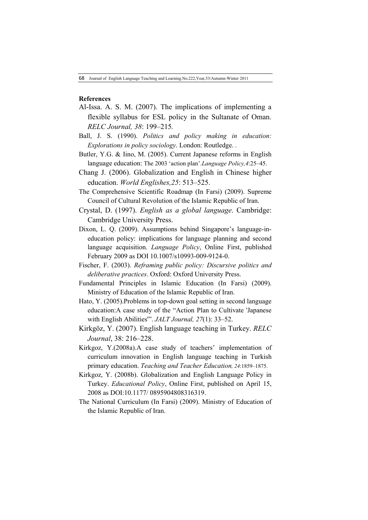### **References**

- Al-Issa. A. S. M. (2007). The implications of implementing a flexible syllabus for ESL policy in the Sultanate of Oman. *RELC Journal, 38*: 199–215*.*
- Ball, J. S. (1990). *Politics and policy making in education: Explorations in policy sociology*. London: Routledge. .
- Butler, Y.G. & Iino, M. (2005). Current Japanese reforms in English language education: The 2003 'action plan'.*Language Policy,4*:25–45.
- Chang J. (2006). Globalization and English in Chinese higher education. *World Englishes,25*: 513–525.
- The Comprehensive Scientific Roadmap (In Farsi) (2009). Supreme Council of Cultural Revolution of the Islamic Republic of Iran.
- Crystal, D. (1997). *English as a global language*. Cambridge: Cambridge University Press.
- Dixon, L. Q. (2009). Assumptions behind Singapore's language-ineducation policy: implications for language planning and second language acquisition. *Language Policy*, Online First, published February 2009 as DOI 10.1007/s10993-009-9124-0.
- Fischer, F. (2003). *Reframing public policy: Discursive politics and deliberative practices*. Oxford: Oxford University Press.
- Fundamental Principles in Islamic Education (In Farsi) (2009). Ministry of Education of the Islamic Republic of Iran.
- Hato, Y. (2005).Problems in top-down goal setting in second language education:A case study of the "Action Plan to Cultivate 'Japanese with English Abilities'". *JALT Journal, 27*(1): 33–52.
- Kirkgö z, Y. (2007). English language teaching in Turkey. *RELC Journal*, 38: 216–228.
- Kirkgoz, Y.(2008a).A case study of teachers' implementation of curriculum innovation in English language teaching in Turkish primary education. *Teaching and Teacher Education, 24*:1859–1875.
- Kirkgoz, Y. (2008b). Globalization and English Language Policy in Turkey. *Educational Policy*, Online First, published on April 15, 2008 as DOI:10.1177/ 0895904808316319.
- The National Curriculum (In Farsi) (2009). Ministry of Education of the Islamic Republic of Iran.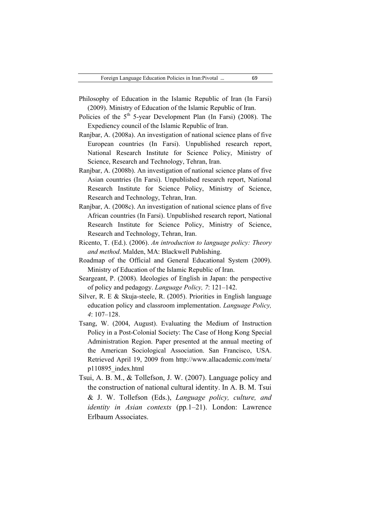(2009). Ministry of Education of the Islamic Republic of Iran.

- Policies of the  $5<sup>th</sup>$  5-year Development Plan (In Farsi) (2008). The Expediency council of the Islamic Republic of Iran.
- Ranjbar, A. (2008a). An investigation of national science plans of five European countries (In Farsi). Unpublished research report, National Research Institute for Science Policy, Ministry of Science, Research and Technology, Tehran, Iran.
- Ranjbar, A. (2008b). An investigation of national science plans of five Asian countries (In Farsi). Unpublished research report, National Research Institute for Science Policy, Ministry of Science, Research and Technology, Tehran, Iran.
- Ranjbar, A. (2008c). An investigation of national science plans of five African countries (In Farsi). Unpublished research report, National Research Institute for Science Policy, Ministry of Science, Research and Technology, Tehran, Iran.
- Ricento, T. (Ed.). (2006). *An introduction to language policy: Theory and method*. Malden, MA: Blackwell Publishing.
- Roadmap of the Official and General Educational System (2009). Ministry of Education of the Islamic Republic of Iran.
- Seargeant, P. (2008). Ideologies of English in Japan: the perspective of policy and pedagogy. *Language Policy, 7*: 121–142.
- Silver, R. E & Skuja-steele, R. (2005). Priorities in English language education policy and classroom implementation. *Language Policy, 4*: 107–128.
- Tsang, W. (2004, August). Evaluating the Medium of Instruction Policy in a Post-Colonial Society: The Case of Hong Kong Special Administration Region. Paper presented at the annual meeting of the American Sociological Association. San Francisco, USA. Retrieved April 19, 2009 from http://www.allacademic.com/meta/ p110895\_index.html
- Tsui, A. B. M., & Tollefson, J. W. (2007). Language policy and the construction of national cultural identity. In A. B. M. Tsui & J. W. Tollefson (Eds.), *Language policy, culture, and identity in Asian contexts* (pp*.*1–21). London: Lawrence Erlbaum Associates.